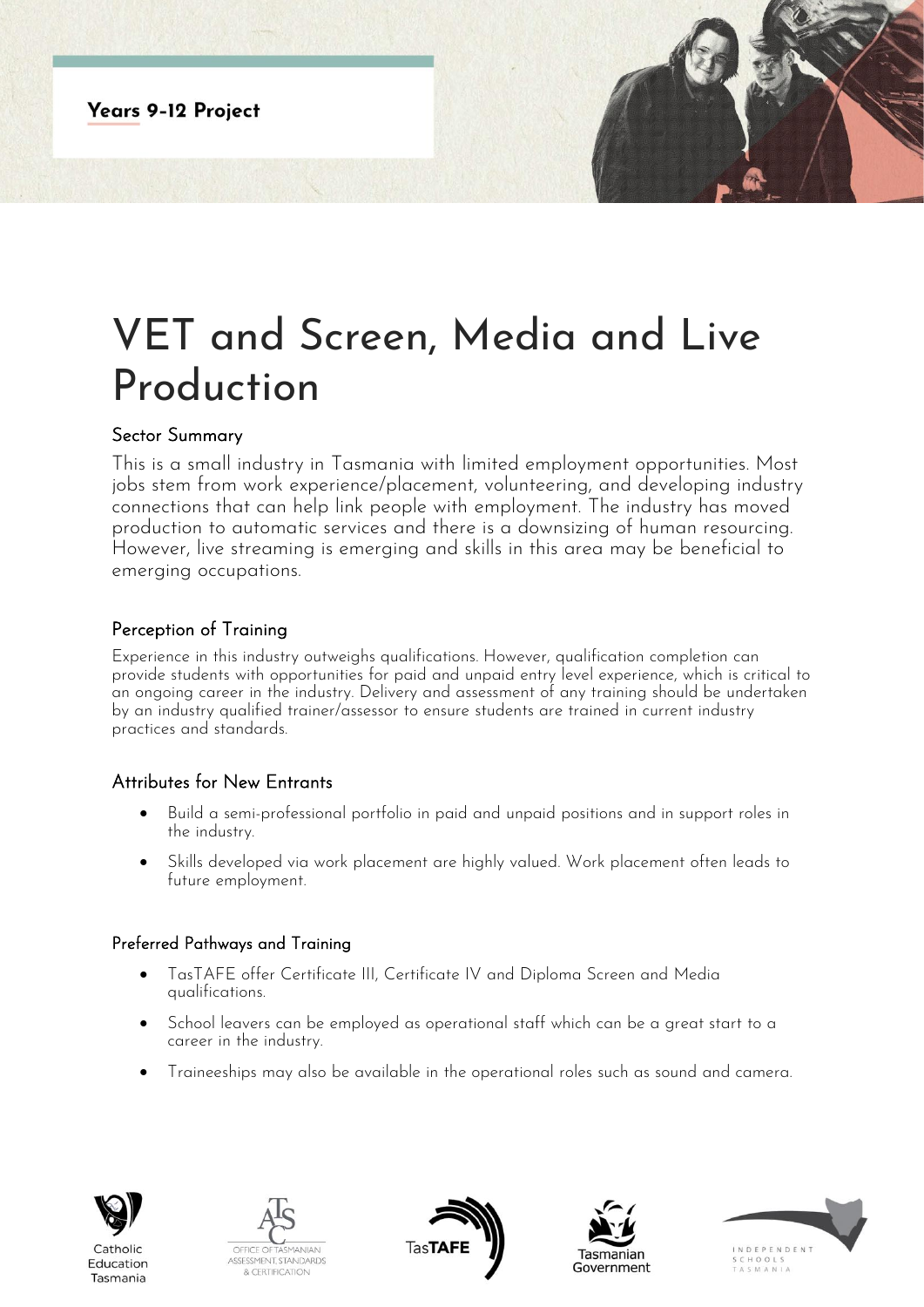**Years 9-12 Project** 



# VET and Screen, Media and Live Production

### Sector Summary

This is a small industry in Tasmania with limited employment opportunities. Most jobs stem from work experience/placement, volunteering, and developing industry connections that can help link people with employment. The industry has moved production to automatic services and there is a downsizing of human resourcing. However, live streaming is emerging and skills in this area may be beneficial to emerging occupations.

## Perception of Training

Experience in this industry outweighs qualifications. However, qualification completion can provide students with opportunities for paid and unpaid entry level experience, which is critical to an ongoing career in the industry. Delivery and assessment of any training should be undertaken by an industry qualified trainer/assessor to ensure students are trained in current industry practices and standards.

# Attributes for New Entrants

- Build a semi-professional portfolio in paid and unpaid positions and in support roles in the industry.
- Skills developed via work placement are highly valued. Work placement often leads to future employment.

### Preferred Pathways and Training

- TasTAFE offer Certificate III, Certificate IV and Diploma Screen and Media qualifications.
- School leavers can be employed as operational staff which can be a great start to a career in the industry.
- Traineeships may also be available in the operational roles such as sound and camera.



Catholic

Education

Tasmania